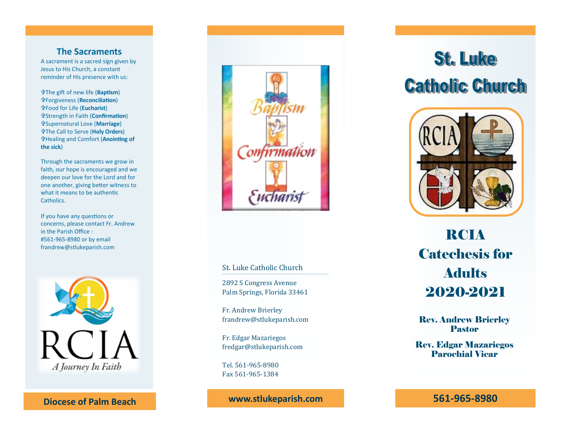### **The Sacraments**

A sacrament is a sacred sign given by Jesus to His Church, a constant reminder of His presence with us:

The gift of new life (**Baptism**) Forgiveness (**Reconciliation**) Food for Life (**Eucharist**) Strength in Faith (**Confirmation**) Supernatural Love (**Marriage**) The Call to Serve (**Holy Orders**) Healing and Comfort (**Anointing of the sick** )

Through the sacraments we grow in faith, our hope is encouraged and we deepen our love for the Lord and for one another, giving better witness to what it means to be authentic **Catholics** 

If you have any questions or concerns, please contact Fr. Andrew in the Parish Office : #561 -965 -8980 or by email frandrew@stlukeparish.com



**Diocese of Palm Beach**



#### St. Luke Catholic Church

2892 S Congress Avenue Palm Springs, Florida 33461

Fr. Andrew Brierley frandrew@stlukeparish.com

Fr. Edgar Mazariegos fredgar@stlukeparish.com

Tel. 561 -965 -8980 Fax 561 -965 -1384

**www.stlukeparish.com**

# **St. Luke Catholic Church**



## RCIA Catechesis for Adults 2020 -2021

Rev. Andrew Brierley Pastor

Rev. Edgar Mazariegos Parochial Vicar

**561 -965 -8980**